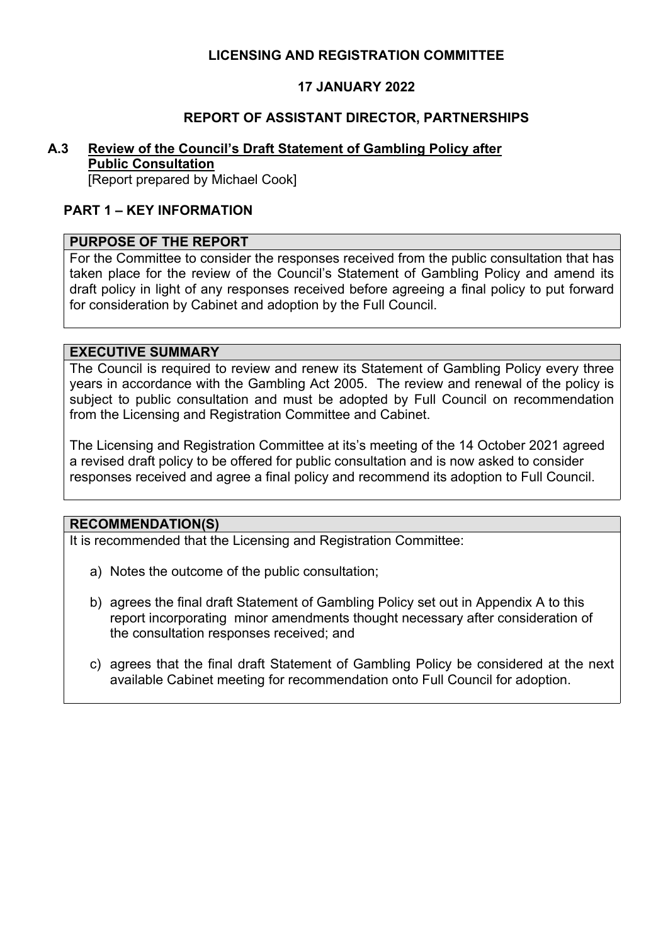### **LICENSING AND REGISTRATION COMMITTEE**

## **17 JANUARY 2022**

### **REPORT OF ASSISTANT DIRECTOR, PARTNERSHIPS**

# **A.3 Review of the Council's Draft Statement of Gambling Policy after**

## **Public Consultation**

[Report prepared by Michael Cook]

### **PART 1 – KEY INFORMATION**

#### **PURPOSE OF THE REPORT**

For the Committee to consider the responses received from the public consultation that has taken place for the review of the Council's Statement of Gambling Policy and amend its draft policy in light of any responses received before agreeing a final policy to put forward for consideration by Cabinet and adoption by the Full Council.

#### **EXECUTIVE SUMMARY**

The Council is required to review and renew its Statement of Gambling Policy every three years in accordance with the Gambling Act 2005. The review and renewal of the policy is subject to public consultation and must be adopted by Full Council on recommendation from the Licensing and Registration Committee and Cabinet.

The Licensing and Registration Committee at its's meeting of the 14 October 2021 agreed a revised draft policy to be offered for public consultation and is now asked to consider responses received and agree a final policy and recommend its adoption to Full Council.

#### **RECOMMENDATION(S)**

It is recommended that the Licensing and Registration Committee:

- a) Notes the outcome of the public consultation;
- b) agrees the final draft Statement of Gambling Policy set out in Appendix A to this report incorporating minor amendments thought necessary after consideration of the consultation responses received; and
- c) agrees that the final draft Statement of Gambling Policy be considered at the next available Cabinet meeting for recommendation onto Full Council for adoption.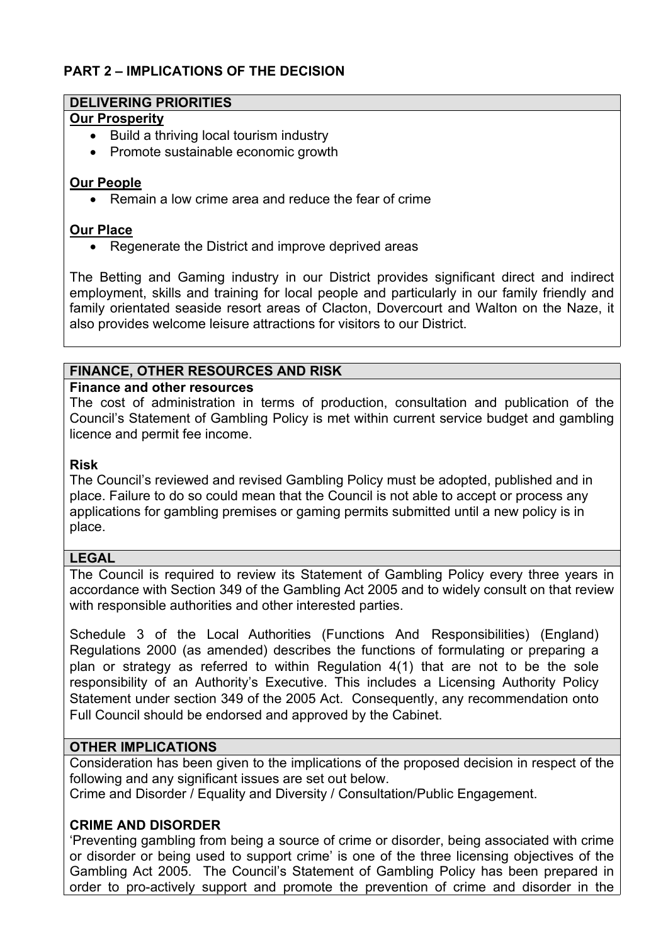## **PART 2 – IMPLICATIONS OF THE DECISION**

#### **DELIVERING PRIORITIES**

#### **Our Prosperity**

- Build a thriving local tourism industry
- Promote sustainable economic growth

### **Our People**

• Remain a low crime area and reduce the fear of crime

### **Our Place**

• Regenerate the District and improve deprived areas

The Betting and Gaming industry in our District provides significant direct and indirect employment, skills and training for local people and particularly in our family friendly and family orientated seaside resort areas of Clacton, Dovercourt and Walton on the Naze, it also provides welcome leisure attractions for visitors to our District.

### **FINANCE, OTHER RESOURCES AND RISK**

#### **Finance and other resources**

The cost of administration in terms of production, consultation and publication of the Council's Statement of Gambling Policy is met within current service budget and gambling licence and permit fee income.

### **Risk**

The Council's reviewed and revised Gambling Policy must be adopted, published and in place. Failure to do so could mean that the Council is not able to accept or process any applications for gambling premises or gaming permits submitted until a new policy is in place.

#### **LEGAL**

The Council is required to review its Statement of Gambling Policy every three years in accordance with Section 349 of the Gambling Act 2005 and to widely consult on that review with responsible authorities and other interested parties.

Schedule 3 of the Local Authorities (Functions And Responsibilities) (England) Regulations 2000 (as amended) describes the functions of formulating or preparing a plan or strategy as referred to within Regulation 4(1) that are not to be the sole responsibility of an Authority's Executive. This includes a Licensing Authority Policy Statement under section 349 of the 2005 Act. Consequently, any recommendation onto Full Council should be endorsed and approved by the Cabinet.

### **OTHER IMPLICATIONS**

Consideration has been given to the implications of the proposed decision in respect of the following and any significant issues are set out below.

Crime and Disorder / Equality and Diversity / Consultation/Public Engagement.

## **CRIME AND DISORDER**

'Preventing gambling from being a source of crime or disorder, being associated with crime or disorder or being used to support crime' is one of the three licensing objectives of the Gambling Act 2005. The Council's Statement of Gambling Policy has been prepared in order to pro-actively support and promote the prevention of crime and disorder in the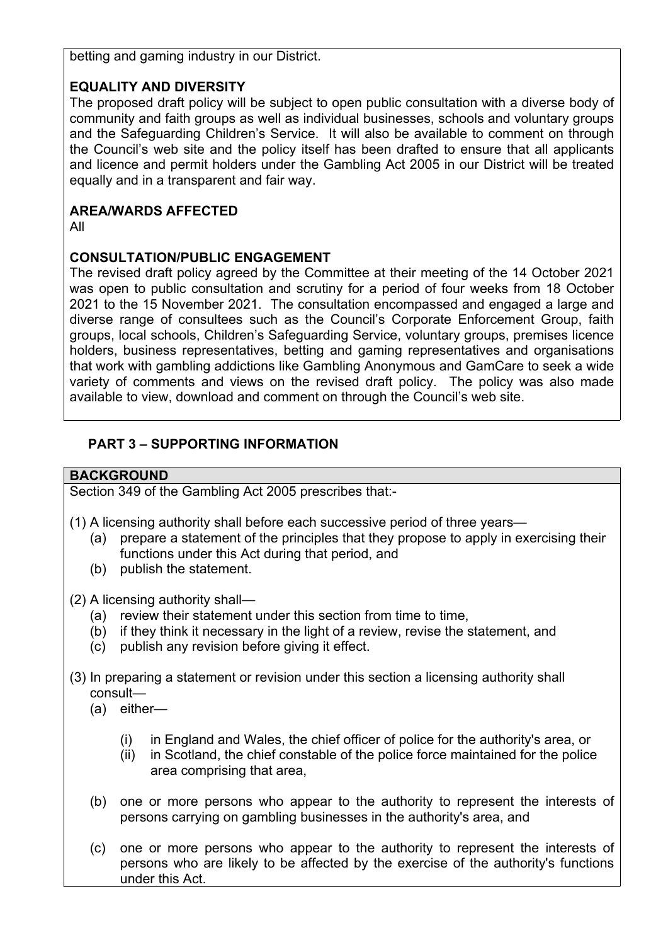betting and gaming industry in our District.

## **EQUALITY AND DIVERSITY**

The proposed draft policy will be subject to open public consultation with a diverse body of community and faith groups as well as individual businesses, schools and voluntary groups and the Safeguarding Children's Service. It will also be available to comment on through the Council's web site and the policy itself has been drafted to ensure that all applicants and licence and permit holders under the Gambling Act 2005 in our District will be treated equally and in a transparent and fair way.

## **AREA/WARDS AFFECTED**

All

## **CONSULTATION/PUBLIC ENGAGEMENT**

The revised draft policy agreed by the Committee at their meeting of the 14 October 2021 was open to public consultation and scrutiny for a period of four weeks from 18 October 2021 to the 15 November 2021. The consultation encompassed and engaged a large and diverse range of consultees such as the Council's Corporate Enforcement Group, faith groups, local schools, Children's Safeguarding Service, voluntary groups, premises licence holders, business representatives, betting and gaming representatives and organisations that work with gambling addictions like Gambling Anonymous and GamCare to seek a wide variety of comments and views on the revised draft policy. The policy was also made available to view, download and comment on through the Council's web site.

## **PART 3 – SUPPORTING INFORMATION**

## **BACKGROUND**

Section 349 of the Gambling Act 2005 prescribes that:-

- (1) A licensing authority shall before each successive period of three years—
	- (a) prepare a statement of the principles that they propose to apply in exercising their functions under this Act during that period, and
	- (b) publish the statement.

(2) A licensing authority shall—

- (a) review their statement under this section from time to time,
- (b) if they think it necessary in the light of a review, revise the statement, and
- (c) publish any revision before giving it effect.
- (3) In preparing a statement or revision under this section a licensing authority shall consult—
	- (a) either—
		- (i) in England and Wales, the chief officer of police for the authority's area, or
		- (ii) in Scotland, the chief constable of the police force maintained for the police area comprising that area,
	- (b) one or more persons who appear to the authority to represent the interests of persons carrying on gambling businesses in the authority's area, and
	- (c) one or more persons who appear to the authority to represent the interests of persons who are likely to be affected by the exercise of the authority's functions under this Act.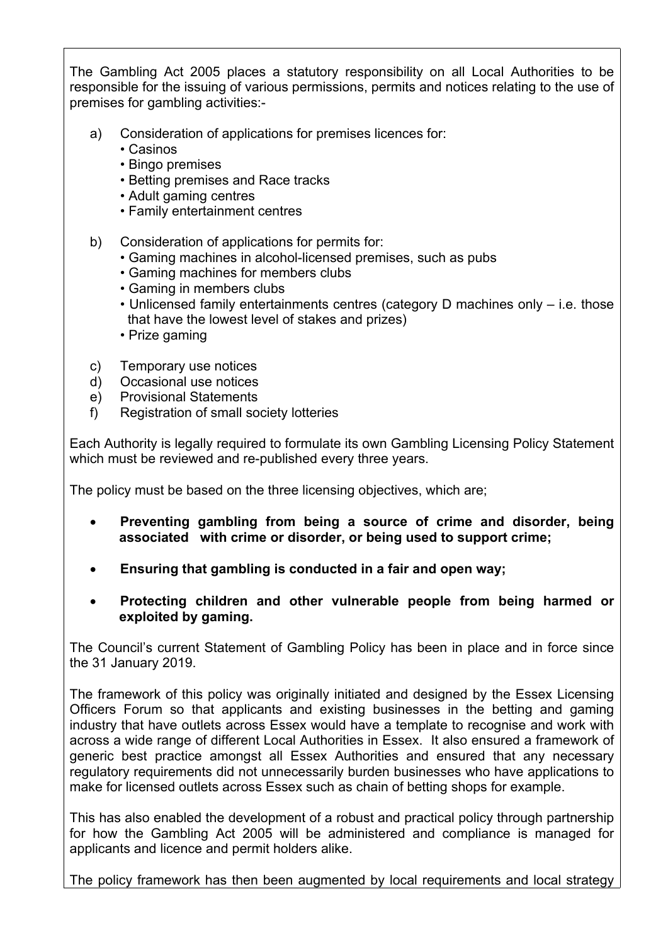The Gambling Act 2005 places a statutory responsibility on all Local Authorities to be responsible for the issuing of various permissions, permits and notices relating to the use of premises for gambling activities:-

- a) Consideration of applications for premises licences for:
	- Casinos
	- Bingo premises
	- Betting premises and Race tracks
	- Adult gaming centres
	- Family entertainment centres
- b) Consideration of applications for permits for:
	- Gaming machines in alcohol-licensed premises, such as pubs
	- Gaming machines for members clubs
	- Gaming in members clubs
	- Unlicensed family entertainments centres (category D machines only i.e. those that have the lowest level of stakes and prizes)
	- Prize gaming
- c) Temporary use notices
- d) Occasional use notices
- e) Provisional Statements
- f) Registration of small society lotteries

Each Authority is legally required to formulate its own Gambling Licensing Policy Statement which must be reviewed and re-published every three years.

The policy must be based on the three licensing objectives, which are;

- **Preventing gambling from being a source of crime and disorder, being associated with crime or disorder, or being used to support crime;**
- **Ensuring that gambling is conducted in a fair and open way;**
- **Protecting children and other vulnerable people from being harmed or exploited by gaming.**

The Council's current Statement of Gambling Policy has been in place and in force since the 31 January 2019.

The framework of this policy was originally initiated and designed by the Essex Licensing Officers Forum so that applicants and existing businesses in the betting and gaming industry that have outlets across Essex would have a template to recognise and work with across a wide range of different Local Authorities in Essex. It also ensured a framework of generic best practice amongst all Essex Authorities and ensured that any necessary regulatory requirements did not unnecessarily burden businesses who have applications to make for licensed outlets across Essex such as chain of betting shops for example.

This has also enabled the development of a robust and practical policy through partnership for how the Gambling Act 2005 will be administered and compliance is managed for applicants and licence and permit holders alike.

The policy framework has then been augmented by local requirements and local strategy